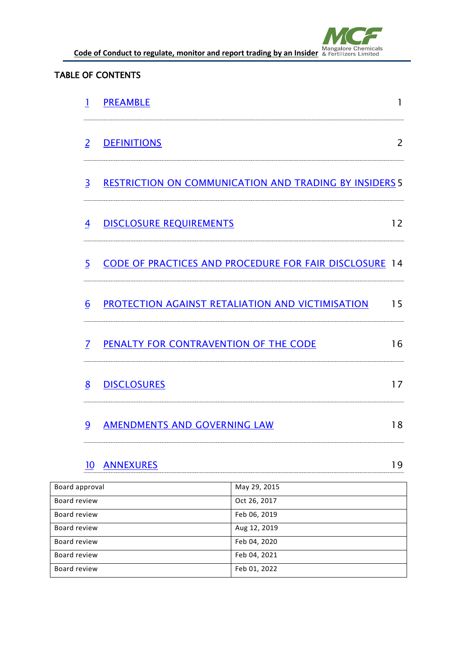

**Code of Conduct to regulate, monitor and report trading by an Insider Mangalore Chemicals** 

#### TABLE OF CONTENTS

|                | 1                                               | <b>PREAMBLE</b>                                               |                                                  | 1              |
|----------------|-------------------------------------------------|---------------------------------------------------------------|--------------------------------------------------|----------------|
|                | $\overline{2}$                                  | <b>DEFINITIONS</b>                                            |                                                  | $\overline{2}$ |
|                | $\overline{3}$                                  | <b>RESTRICTION ON COMMUNICATION AND TRADING BY INSIDERS 5</b> |                                                  |                |
|                | 4                                               | <b>DISCLOSURE REQUIREMENTS</b>                                |                                                  |                |
|                | $\overline{5}$                                  | CODE OF PRACTICES AND PROCEDURE FOR FAIR DISCLOSURE 14        |                                                  |                |
|                | 6                                               |                                                               | PROTECTION AGAINST RETALIATION AND VICTIMISATION | 15             |
|                | $\overline{7}$                                  | PENALTY FOR CONTRAVENTION OF THE CODE                         |                                                  |                |
|                | 8                                               | <b>DISCLOSURES</b>                                            |                                                  | 17             |
|                | <b>AMENDMENTS AND GOVERNING LAW</b><br><u>و</u> |                                                               |                                                  | 18             |
|                | 10                                              | <b>ANNEXURES</b>                                              |                                                  |                |
| Board approval |                                                 |                                                               | May 29, 2015                                     |                |
| Board review   |                                                 |                                                               | Oct 26, 2017                                     |                |
| Board review   |                                                 |                                                               | Feb 06, 2019                                     |                |
| Board review   |                                                 |                                                               | Aug 12, 2019                                     |                |

Board review Feb 04, 2020 Board review Feb 04, 2021 Board review Feb 01, 2022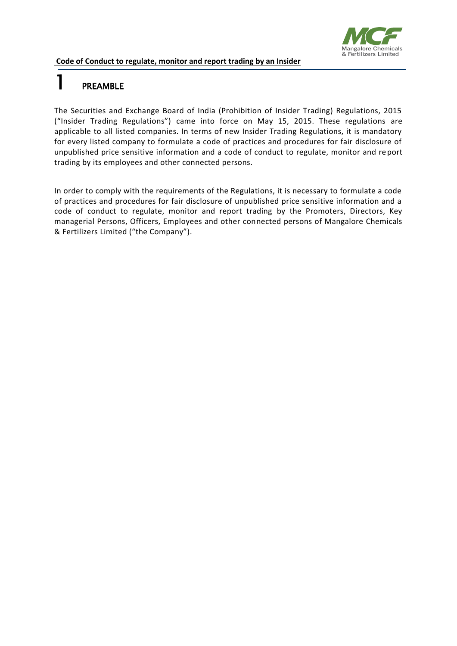

### 1 PREAMBLE

The Securities and Exchange Board of India (Prohibition of Insider Trading) Regulations, 2015 ("Insider Trading Regulations") came into force on May 15, 2015. These regulations are applicable to all listed companies. In terms of new Insider Trading Regulations, it is mandatory for every listed company to formulate a code of practices and procedures for fair disclosure of unpublished price sensitive information and a code of conduct to regulate, monitor and report trading by its employees and other connected persons.

In order to comply with the requirements of the Regulations, it is necessary to formulate a code of practices and procedures for fair disclosure of unpublished price sensitive information and a code of conduct to regulate, monitor and report trading by the Promoters, Directors, Key managerial Persons, Officers, Employees and other connected persons of Mangalore Chemicals & Fertilizers Limited ("the Company").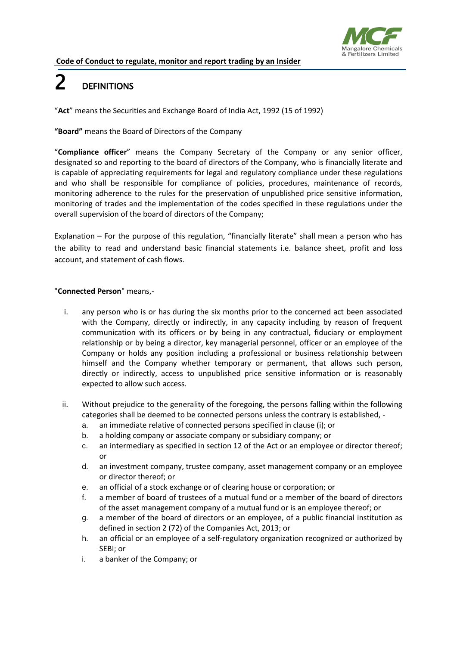

### 2 DEFINITIONS

"**Act**" means the Securities and Exchange Board of India Act, 1992 (15 of 1992)

#### **"Board"** means the Board of Directors of the Company

"**Compliance officer**" means the Company Secretary of the Company or any senior officer, designated so and reporting to the board of directors of the Company, who is financially literate and is capable of appreciating requirements for legal and regulatory compliance under these regulations and who shall be responsible for compliance of policies, procedures, maintenance of records, monitoring adherence to the rules for the preservation of unpublished price sensitive information, monitoring of trades and the implementation of the codes specified in these regulations under the overall supervision of the board of directors of the Company;

Explanation – For the purpose of this regulation, "financially literate" shall mean a person who has the ability to read and understand basic financial statements i.e. balance sheet, profit and loss account, and statement of cash flows.

#### "**Connected Person**" means,-

- i. any person who is or has during the six months prior to the concerned act been associated with the Company, directly or indirectly, in any capacity including by reason of frequent communication with its officers or by being in any contractual, fiduciary or employment relationship or by being a director, key managerial personnel, officer or an employee of the Company or holds any position including a professional or business relationship between himself and the Company whether temporary or permanent, that allows such person, directly or indirectly, access to unpublished price sensitive information or is reasonably expected to allow such access.
- ii. Without prejudice to the generality of the foregoing, the persons falling within the following categories shall be deemed to be connected persons unless the contrary is established,
	- a. an immediate relative of connected persons specified in clause (i); or
	- b. a holding company or associate company or subsidiary company; or
	- c. an intermediary as specified in section 12 of the Act or an employee or director thereof; or
	- d. an investment company, trustee company, asset management company or an employee or director thereof; or
	- e. an official of a stock exchange or of clearing house or corporation; or
	- f. a member of board of trustees of a mutual fund or a member of the board of directors of the asset management company of a mutual fund or is an employee thereof; or
	- g. a member of the board of directors or an employee, of a public financial institution as defined in section 2 (72) of the Companies Act, 2013; or
	- h. an official or an employee of a self-regulatory organization recognized or authorized by SEBI; or
	- i. a banker of the Company; or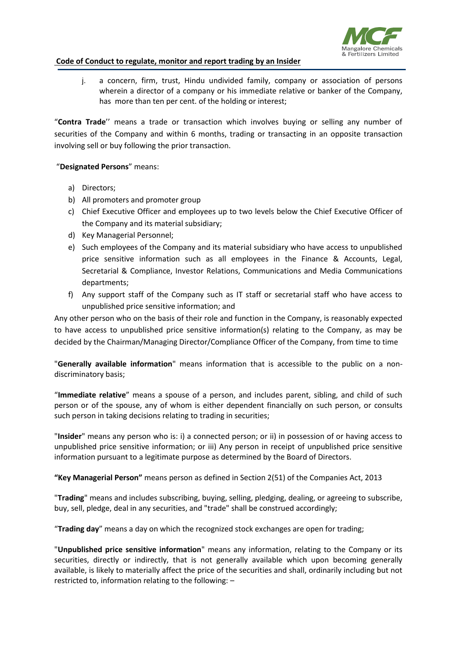

j. a concern, firm, trust, Hindu undivided family, company or association of persons wherein a director of a company or his immediate relative or banker of the Company, has more than ten per cent. of the holding or interest;

"**Contra Trade**'' means a trade or transaction which involves buying or selling any number of securities of the Company and within 6 months, trading or transacting in an opposite transaction involving sell or buy following the prior transaction.

#### "**Designated Persons**" means:

- a) Directors;
- b) All promoters and promoter group
- c) Chief Executive Officer and employees up to two levels below the Chief Executive Officer of the Company and its material subsidiary;
- d) Key Managerial Personnel;
- e) Such employees of the Company and its material subsidiary who have access to unpublished price sensitive information such as all employees in the Finance & Accounts, Legal, Secretarial & Compliance, Investor Relations, Communications and Media Communications departments;
- f) Any support staff of the Company such as IT staff or secretarial staff who have access to unpublished price sensitive information; and

Any other person who on the basis of their role and function in the Company, is reasonably expected to have access to unpublished price sensitive information(s) relating to the Company, as may be decided by the Chairman/Managing Director/Compliance Officer of the Company, from time to time

"**Generally available information**" means information that is accessible to the public on a nondiscriminatory basis;

"**Immediate relative**" means a spouse of a person, and includes parent, sibling, and child of such person or of the spouse, any of whom is either dependent financially on such person, or consults such person in taking decisions relating to trading in securities;

"**Insider**" means any person who is: i) a connected person; or ii) in possession of or having access to unpublished price sensitive information; or iii) Any person in receipt of unpublished price sensitive information pursuant to a legitimate purpose as determined by the Board of Directors.

**"Key Managerial Person"** means person as defined in Section 2(51) of the Companies Act, 2013

"**Trading**" means and includes subscribing, buying, selling, pledging, dealing, or agreeing to subscribe, buy, sell, pledge, deal in any securities, and "trade" shall be construed accordingly;

"**Trading day**" means a day on which the recognized stock exchanges are open for trading;

"**Unpublished price sensitive information**" means any information, relating to the Company or its securities, directly or indirectly, that is not generally available which upon becoming generally available, is likely to materially affect the price of the securities and shall, ordinarily including but not restricted to, information relating to the following: –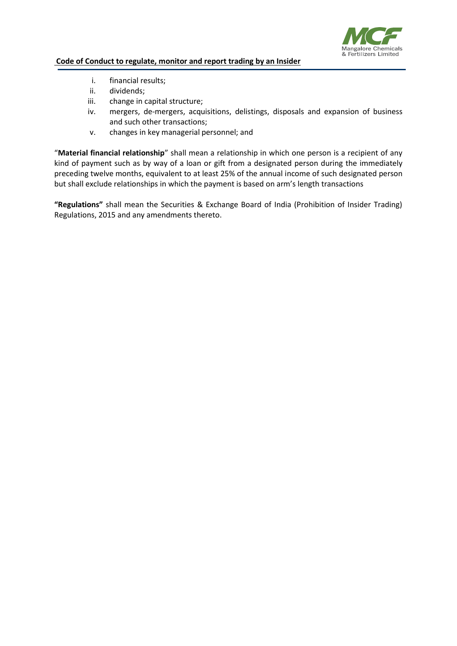

- i. financial results;
- ii. dividends;
- iii. change in capital structure;
- iv. mergers, de-mergers, acquisitions, delistings, disposals and expansion of business and such other transactions;
- v. changes in key managerial personnel; and

"**Material financial relationship**" shall mean a relationship in which one person is a recipient of any kind of payment such as by way of a loan or gift from a designated person during the immediately preceding twelve months, equivalent to at least 25% of the annual income of such designated person but shall exclude relationships in which the payment is based on arm's length transactions

**"Regulations"** shall mean the Securities & Exchange Board of India (Prohibition of Insider Trading) Regulations, 2015 and any amendments thereto.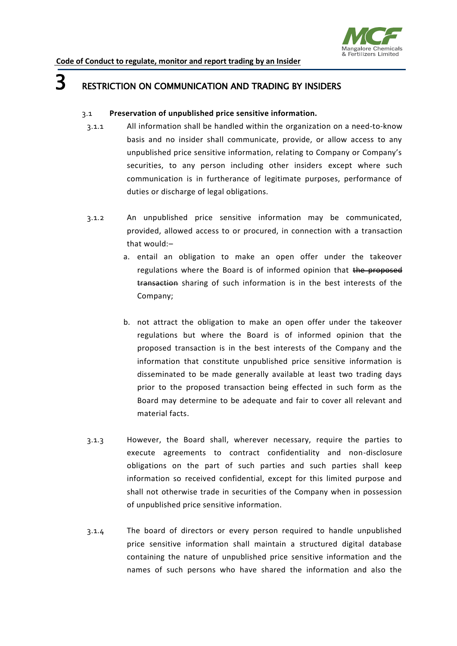

### **3** RESTRICTION ON COMMUNICATION AND TRADING BY INSIDERS

#### 3.1 **Preservation of unpublished price sensitive information.**

- 3.1.1 All information shall be handled within the organization on a need-to-know basis and no insider shall communicate, provide, or allow access to any unpublished price sensitive information, relating to Company or Company's securities, to any person including other insiders except where such communication is in furtherance of legitimate purposes, performance of duties or discharge of legal obligations.
- 3.1.2 An unpublished price sensitive information may be communicated, provided, allowed access to or procured, in connection with a transaction that would:–
	- a. entail an obligation to make an open offer under the takeover regulations where the Board is of informed opinion that the proposed transaction sharing of such information is in the best interests of the Company;
	- b. not attract the obligation to make an open offer under the takeover regulations but where the Board is of informed opinion that the proposed transaction is in the best interests of the Company and the information that constitute unpublished price sensitive information is disseminated to be made generally available at least two trading days prior to the proposed transaction being effected in such form as the Board may determine to be adequate and fair to cover all relevant and material facts.
- 3.1.3 However, the Board shall, wherever necessary, require the parties to execute agreements to contract confidentiality and non-disclosure obligations on the part of such parties and such parties shall keep information so received confidential, except for this limited purpose and shall not otherwise trade in securities of the Company when in possession of unpublished price sensitive information.
- 3.1.4 The board of directors or every person required to handle unpublished price sensitive information shall maintain a structured digital database containing the nature of unpublished price sensitive information and the names of such persons who have shared the information and also the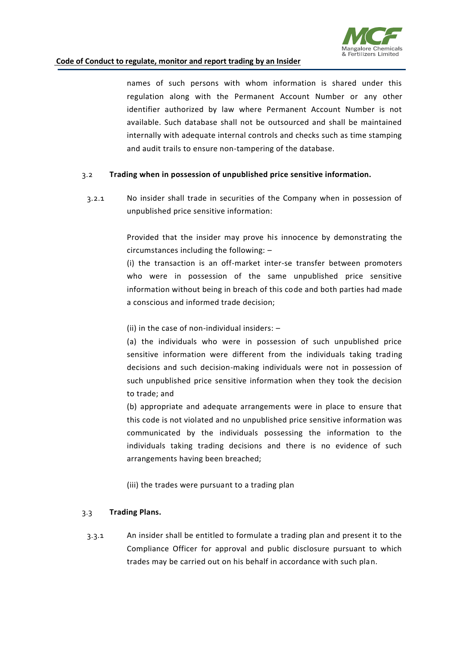

names of such persons with whom information is shared under this regulation along with the Permanent Account Number or any other identifier authorized by law where Permanent Account Number is not available. Such database shall not be outsourced and shall be maintained internally with adequate internal controls and checks such as time stamping and audit trails to ensure non-tampering of the database.

#### 3.2 **Trading when in possession of unpublished price sensitive information.**

3.2.1 No insider shall trade in securities of the Company when in possession of unpublished price sensitive information:

> Provided that the insider may prove his innocence by demonstrating the circumstances including the following: –

> (i) the transaction is an off-market inter-se transfer between promoters who were in possession of the same unpublished price sensitive information without being in breach of this code and both parties had made a conscious and informed trade decision;

(ii) in the case of non-individual insiders: –

(a) the individuals who were in possession of such unpublished price sensitive information were different from the individuals taking trading decisions and such decision-making individuals were not in possession of such unpublished price sensitive information when they took the decision to trade; and

(b) appropriate and adequate arrangements were in place to ensure that this code is not violated and no unpublished price sensitive information was communicated by the individuals possessing the information to the individuals taking trading decisions and there is no evidence of such arrangements having been breached;

(iii) the trades were pursuant to a trading plan

#### 3.3 **Trading Plans.**

3.3.1 An insider shall be entitled to formulate a trading plan and present it to the Compliance Officer for approval and public disclosure pursuant to which trades may be carried out on his behalf in accordance with such plan.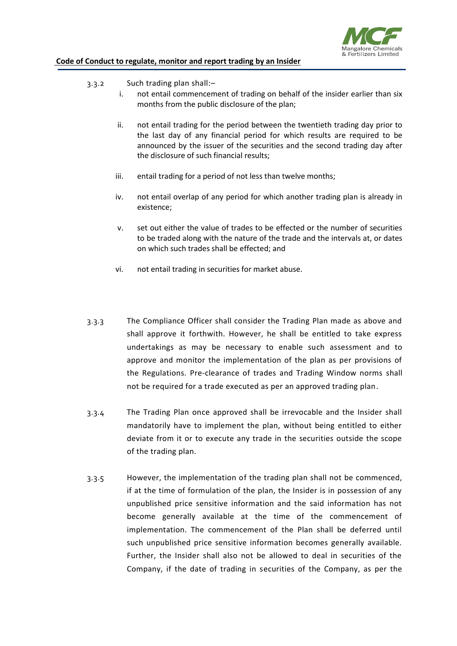

- 3.3.2 Such trading plan shall:–
	- i. not entail commencement of trading on behalf of the insider earlier than six months from the public disclosure of the plan;
	- ii. not entail trading for the period between the twentieth trading day prior to the last day of any financial period for which results are required to be announced by the issuer of the securities and the second trading day after the disclosure of such financial results;
	- iii. entail trading for a period of not less than twelve months;
	- iv. not entail overlap of any period for which another trading plan is already in existence;
	- v. set out either the value of trades to be effected or the number of securities to be traded along with the nature of the trade and the intervals at, or dates on which such trades shall be effected; and
	- vi. not entail trading in securities for market abuse.
- 3.3.3 The Compliance Officer shall consider the Trading Plan made as above and shall approve it forthwith. However, he shall be entitled to take express undertakings as may be necessary to enable such assessment and to approve and monitor the implementation of the plan as per provisions of the Regulations. Pre-clearance of trades and Trading Window norms shall not be required for a trade executed as per an approved trading plan.
- 3.3.4 The Trading Plan once approved shall be irrevocable and the Insider shall mandatorily have to implement the plan, without being entitled to either deviate from it or to execute any trade in the securities outside the scope of the trading plan.
- 3.3.5 However, the implementation of the trading plan shall not be commenced, if at the time of formulation of the plan, the Insider is in possession of any unpublished price sensitive information and the said information has not become generally available at the time of the commencement of implementation. The commencement of the Plan shall be deferred until such unpublished price sensitive information becomes generally available. Further, the Insider shall also not be allowed to deal in securities of the Company, if the date of trading in securities of the Company, as per the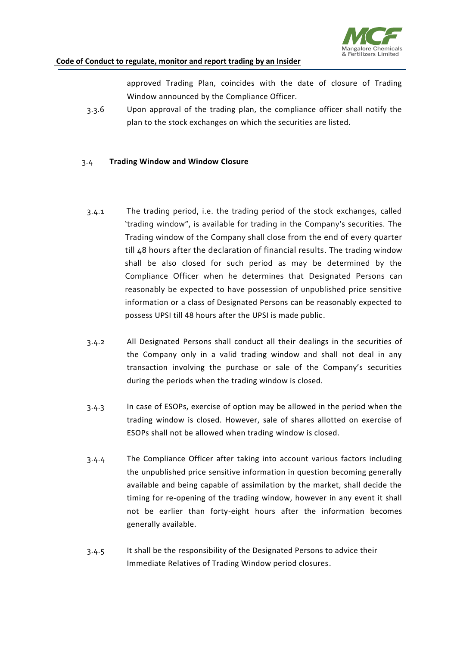

approved Trading Plan, coincides with the date of closure of Trading Window announced by the Compliance Officer.

3.3.6 Upon approval of the trading plan, the compliance officer shall notify the plan to the stock exchanges on which the securities are listed.

#### 3.4 **Trading Window and Window Closure**

- 3.4.1 The trading period, i.e. the trading period of the stock exchanges, called 'trading window", is available for trading in the Company's securities. The Trading window of the Company shall close from the end of every quarter till 48 hours after the declaration of financial results. The trading window shall be also closed for such period as may be determined by the Compliance Officer when he determines that Designated Persons can reasonably be expected to have possession of unpublished price sensitive information or a class of Designated Persons can be reasonably expected to possess UPSI till 48 hours after the UPSI is made public.
- 3.4.2 All Designated Persons shall conduct all their dealings in the securities of the Company only in a valid trading window and shall not deal in any transaction involving the purchase or sale of the Company's securities during the periods when the trading window is closed.
- 3.4.3 In case of ESOPs, exercise of option may be allowed in the period when the trading window is closed. However, sale of shares allotted on exercise of ESOPs shall not be allowed when trading window is closed.
- 3.4.4 The Compliance Officer after taking into account various factors including the unpublished price sensitive information in question becoming generally available and being capable of assimilation by the market, shall decide the timing for re-opening of the trading window, however in any event it shall not be earlier than forty-eight hours after the information becomes generally available.
- 3.4.5 It shall be the responsibility of the Designated Persons to advice their Immediate Relatives of Trading Window period closures.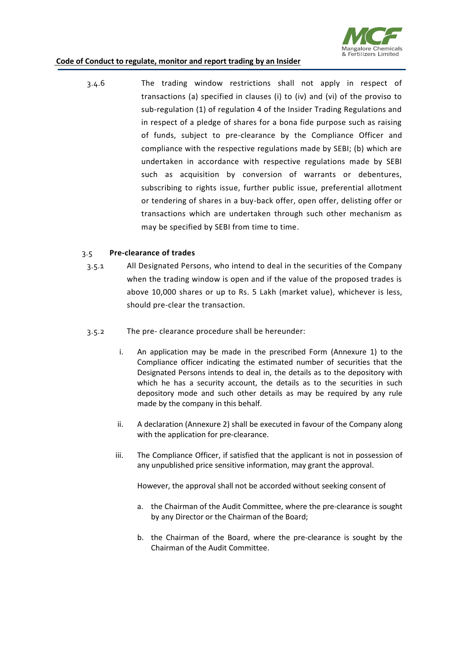

3.4.6 The trading window restrictions shall not apply in respect of transactions (a) specified in clauses (i) to (iv) and (vi) of the proviso to sub-regulation (1) of regulation 4 of the Insider Trading Regulations and in respect of a pledge of shares for a bona fide purpose such as raising of funds, subject to pre-clearance by the Compliance Officer and compliance with the respective regulations made by SEBI; (b) which are undertaken in accordance with respective regulations made by SEBI such as acquisition by conversion of warrants or debentures, subscribing to rights issue, further public issue, preferential allotment or tendering of shares in a buy-back offer, open offer, delisting offer or transactions which are undertaken through such other mechanism as may be specified by SEBI from time to time.

#### 3.5 **Pre-clearance of trades**

- 3.5.1 All Designated Persons, who intend to deal in the securities of the Company when the trading window is open and if the value of the proposed trades is above 10,000 shares or up to Rs. 5 Lakh (market value), whichever is less, should pre-clear the transaction.
- 3.5.2 The pre- clearance procedure shall be hereunder:
	- i. An application may be made in the prescribed Form (Annexure 1) to the Compliance officer indicating the estimated number of securities that the Designated Persons intends to deal in, the details as to the depository with which he has a security account, the details as to the securities in such depository mode and such other details as may be required by any rule made by the company in this behalf.
	- ii. A declaration (Annexure 2) shall be executed in favour of the Company along with the application for pre-clearance.
	- iii. The Compliance Officer, if satisfied that the applicant is not in possession of any unpublished price sensitive information, may grant the approval.

However, the approval shall not be accorded without seeking consent of

- a. the Chairman of the Audit Committee, where the pre-clearance is sought by any Director or the Chairman of the Board;
- b. the Chairman of the Board, where the pre-clearance is sought by the Chairman of the Audit Committee.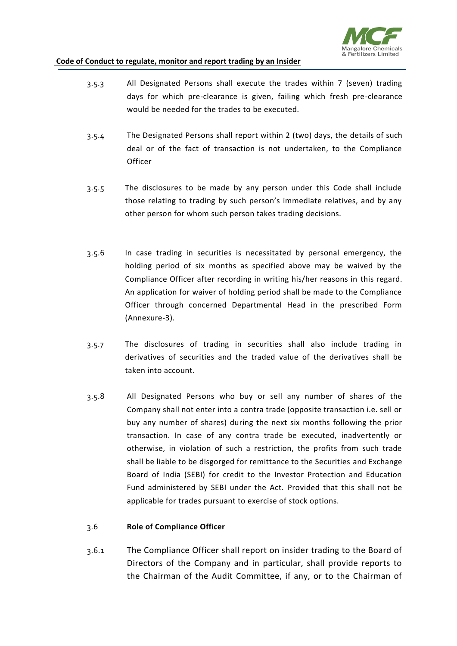

- 3.5.3 All Designated Persons shall execute the trades within 7 (seven) trading days for which pre-clearance is given, failing which fresh pre-clearance would be needed for the trades to be executed.
- 3.5.4 The Designated Persons shall report within 2 (two) days, the details of such deal or of the fact of transaction is not undertaken, to the Compliance **Officer**
- 3.5.5 The disclosures to be made by any person under this Code shall include those relating to trading by such person's immediate relatives, and by any other person for whom such person takes trading decisions.
- 3.5.6 In case trading in securities is necessitated by personal emergency, the holding period of six months as specified above may be waived by the Compliance Officer after recording in writing his/her reasons in this regard. An application for waiver of holding period shall be made to the Compliance Officer through concerned Departmental Head in the prescribed Form (Annexure-3).
- 3.5.7 The disclosures of trading in securities shall also include trading in derivatives of securities and the traded value of the derivatives shall be taken into account.
- 3.5.8 All Designated Persons who buy or sell any number of shares of the Company shall not enter into a contra trade (opposite transaction i.e. sell or buy any number of shares) during the next six months following the prior transaction. In case of any contra trade be executed, inadvertently or otherwise, in violation of such a restriction, the profits from such trade shall be liable to be disgorged for remittance to the Securities and Exchange Board of India (SEBI) for credit to the Investor Protection and Education Fund administered by SEBI under the Act. Provided that this shall not be applicable for trades pursuant to exercise of stock options.

#### 3.6 **Role of Compliance Officer**

3.6.1 The Compliance Officer shall report on insider trading to the Board of Directors of the Company and in particular, shall provide reports to the Chairman of the Audit Committee, if any, or to the Chairman of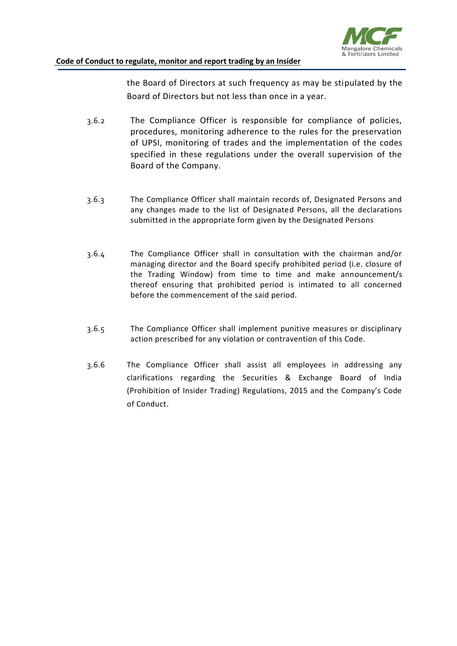

the Board of Directors at such frequency as may be stipulated by the Board of Directors but not less than once in a year.

- 3.6.2 The Compliance Officer is responsible for compliance of policies, procedures, monitoring adherence to the rules for the preservation of UPSI, monitoring of trades and the implementation of the codes specified in these regulations under the overall supervision of the Board of the Company.
- 3.6.3 The Compliance Officer shall maintain records of, Designated Persons and any changes made to the list of Designated Persons, all the declarations submitted in the appropriate form given by the Designated Persons
- 3.6.4 The Compliance Officer shall in consultation with the chairman and/or managing director and the Board specify prohibited period (i.e. closure of the Trading Window) from time to time and make announcement/s thereof ensuring that prohibited period is intimated to all concerned before the commencement of the said period.
- 3.6.5 The Compliance Officer shall implement punitive measures or disciplinary action prescribed for any violation or contravention of this Code.
- 3.6.6 The Compliance Officer shall assist all employees in addressing any clarifications regarding the Securities & Exchange Board of India (Prohibition of Insider Trading) Regulations, 2015 and the Company's Code of Conduct.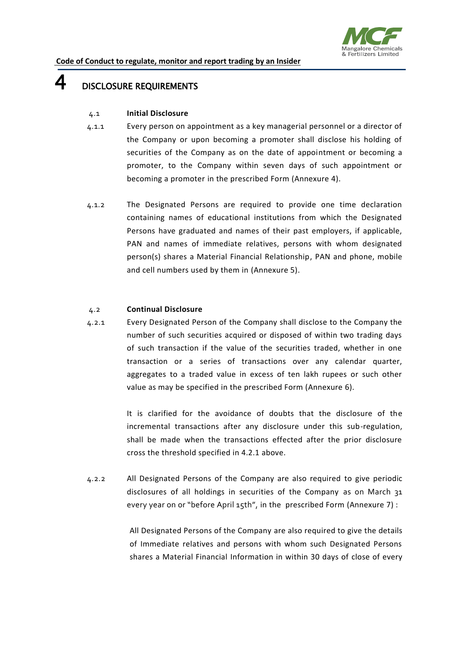

### $4$  DISCLOSURE REQUIREMENTS

#### 4.1 **Initial Disclosure**

- 4.1.1 Every person on appointment as a key managerial personnel or a director of the Company or upon becoming a promoter shall disclose his holding of securities of the Company as on the date of appointment or becoming a promoter, to the Company within seven days of such appointment or becoming a promoter in the prescribed Form (Annexure 4).
- 4.1.2 The Designated Persons are required to provide one time declaration containing names of educational institutions from which the Designated Persons have graduated and names of their past employers, if applicable, PAN and names of immediate relatives, persons with whom designated person(s) shares a Material Financial Relationship, PAN and phone, mobile and cell numbers used by them in (Annexure 5).

#### 4.2 **Continual Disclosure**

4.2.1 Every Designated Person of the Company shall disclose to the Company the number of such securities acquired or disposed of within two trading days of such transaction if the value of the securities traded, whether in one transaction or a series of transactions over any calendar quarter, aggregates to a traded value in excess of ten lakh rupees or such other value as may be specified in the prescribed Form (Annexure 6).

> It is clarified for the avoidance of doubts that the disclosure of the incremental transactions after any disclosure under this sub-regulation, shall be made when the transactions effected after the prior disclosure cross the threshold specified in 4.2.1 above.

4.2.2 All Designated Persons of the Company are also required to give periodic disclosures of all holdings in securities of the Company as on March 31 every year on or "before April 15th", in the prescribed Form (Annexure 7) :

> All Designated Persons of the Company are also required to give the details of Immediate relatives and persons with whom such Designated Persons shares a Material Financial Information in within 30 days of close of every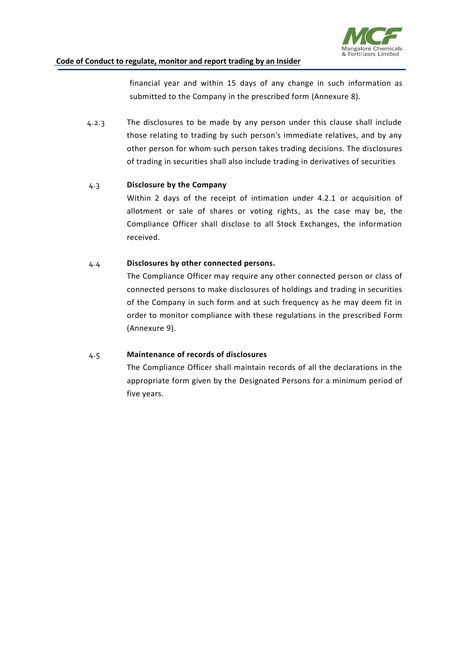

financial year and within 15 days of any change in such information as submitted to the Company in the prescribed form (Annexure 8).

4.2.3 The disclosures to be made by any person under this clause shall include those relating to trading by such person's immediate relatives, and by any other person for whom such person takes trading decisions. The disclosures of trading in securities shall also include trading in derivatives of securities

#### 4.3 **Disclosure by the Company**

Within 2 days of the receipt of intimation under 4.2.1 or acquisition of allotment or sale of shares or voting rights, as the case may be, the Compliance Officer shall disclose to all Stock Exchanges, the information received.

#### 4.4 **Disclosures by other connected persons.**

The Compliance Officer may require any other connected person or class of connected persons to make disclosures of holdings and trading in securities of the Company in such form and at such frequency as he may deem fit in order to monitor compliance with these regulations in the prescribed Form (Annexure 9).

#### 4.5 **Maintenance of records of disclosures**

The Compliance Officer shall maintain records of all the declarations in the appropriate form given by the Designated Persons for a minimum period of five years.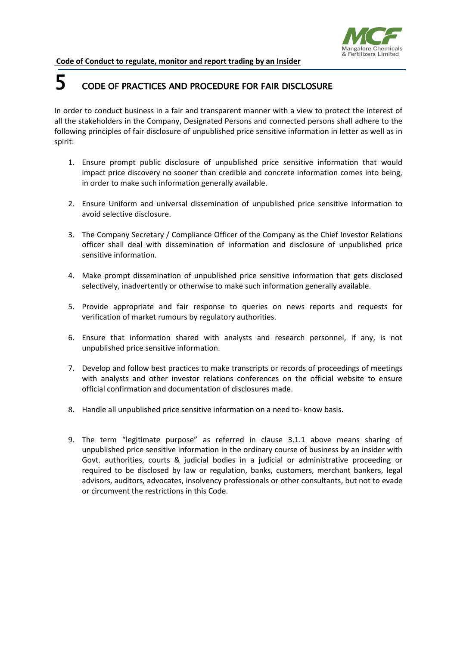

## 5 CODE OF PRACTICES AND PROCEDURE FOR FAIR DISCLOSURE

In order to conduct business in a fair and transparent manner with a view to protect the interest of all the stakeholders in the Company, Designated Persons and connected persons shall adhere to the following principles of fair disclosure of unpublished price sensitive information in letter as well as in spirit:

- 1. Ensure prompt public disclosure of unpublished price sensitive information that would impact price discovery no sooner than credible and concrete information comes into being, in order to make such information generally available.
- 2. Ensure Uniform and universal dissemination of unpublished price sensitive information to avoid selective disclosure.
- 3. The Company Secretary / Compliance Officer of the Company as the Chief Investor Relations officer shall deal with dissemination of information and disclosure of unpublished price sensitive information.
- 4. Make prompt dissemination of unpublished price sensitive information that gets disclosed selectively, inadvertently or otherwise to make such information generally available.
- 5. Provide appropriate and fair response to queries on news reports and requests for verification of market rumours by regulatory authorities.
- 6. Ensure that information shared with analysts and research personnel, if any, is not unpublished price sensitive information.
- 7. Develop and follow best practices to make transcripts or records of proceedings of meetings with analysts and other investor relations conferences on the official website to ensure official confirmation and documentation of disclosures made.
- 8. Handle all unpublished price sensitive information on a need to- know basis.
- 9. The term "legitimate purpose" as referred in clause 3.1.1 above means sharing of unpublished price sensitive information in the ordinary course of business by an insider with Govt. authorities, courts & judicial bodies in a judicial or administrative proceeding or required to be disclosed by law or regulation, banks, customers, merchant bankers, legal advisors, auditors, advocates, insolvency professionals or other consultants, but not to evade or circumvent the restrictions in this Code.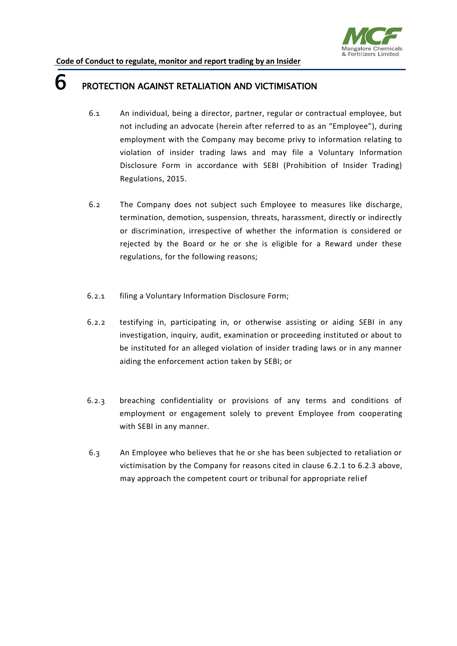

### **6** PROTECTION AGAINST RETALIATION AND VICTIMISATION

- 6.1 An individual, being a director, partner, regular or contractual employee, but not including an advocate (herein after referred to as an "Employee"), during employment with the Company may become privy to information relating to violation of insider trading laws and may file a Voluntary Information Disclosure Form in accordance with SEBI (Prohibition of Insider Trading) Regulations, 2015.
- 6.2 The Company does not subject such Employee to measures like discharge, termination, demotion, suspension, threats, harassment, directly or indirectly or discrimination, irrespective of whether the information is considered or rejected by the Board or he or she is eligible for a Reward under these regulations, for the following reasons;
- 6.2.1 filing a Voluntary Information Disclosure Form;
- 6.2.2 testifying in, participating in, or otherwise assisting or aiding SEBI in any investigation, inquiry, audit, examination or proceeding instituted or about to be instituted for an alleged violation of insider trading laws or in any manner aiding the enforcement action taken by SEBI; or
- 6.2.3 breaching confidentiality or provisions of any terms and conditions of employment or engagement solely to prevent Employee from cooperating with SEBI in any manner.
- 6.3 An Employee who believes that he or she has been subjected to retaliation or victimisation by the Company for reasons cited in clause 6.2.1 to 6.2.3 above, may approach the competent court or tribunal for appropriate relief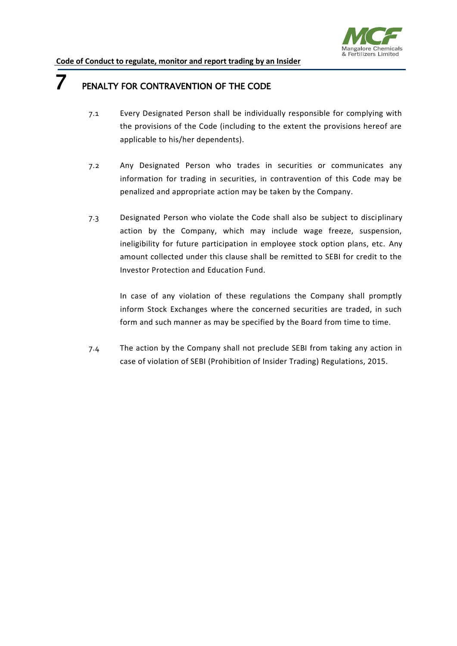

### **7** PENALTY FOR CONTRAVENTION OF THE CODE

- 7.1 Every Designated Person shall be individually responsible for complying with the provisions of the Code (including to the extent the provisions hereof are applicable to his/her dependents).
- 7.2 Any Designated Person who trades in securities or communicates any information for trading in securities, in contravention of this Code may be penalized and appropriate action may be taken by the Company.
- 7.3 Designated Person who violate the Code shall also be subject to disciplinary action by the Company, which may include wage freeze, suspension, ineligibility for future participation in employee stock option plans, etc. Any amount collected under this clause shall be remitted to SEBI for credit to the Investor Protection and Education Fund.

In case of any violation of these regulations the Company shall promptly inform Stock Exchanges where the concerned securities are traded, in such form and such manner as may be specified by the Board from time to time.

7.4 The action by the Company shall not preclude SEBI from taking any action in case of violation of SEBI (Prohibition of Insider Trading) Regulations, 2015.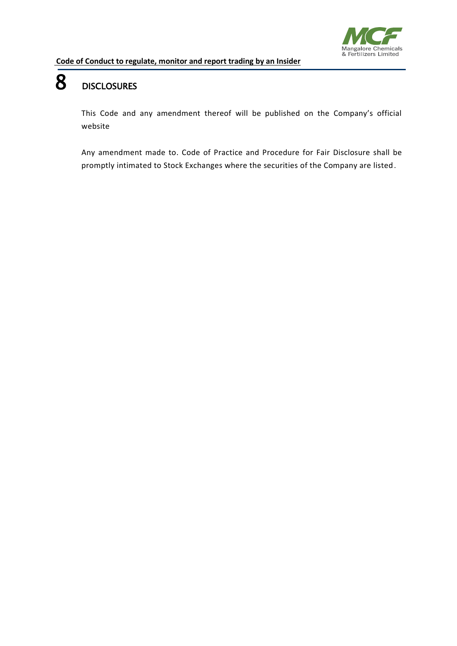

# 8 DISCLOSURES

This Code and any amendment thereof will be published on the Company's official website

Any amendment made to. Code of Practice and Procedure for Fair Disclosure shall be promptly intimated to Stock Exchanges where the securities of the Company are listed.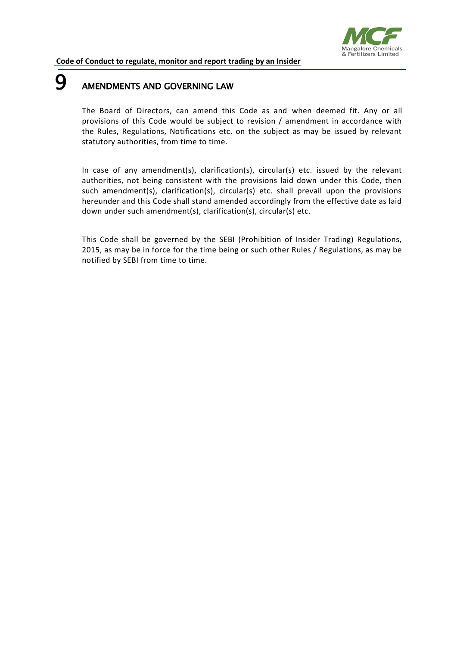

### **9** AMENDMENTS AND GOVERNING LAW

The Board of Directors, can amend this Code as and when deemed fit. Any or all provisions of this Code would be subject to revision / amendment in accordance with the Rules, Regulations, Notifications etc. on the subject as may be issued by relevant statutory authorities, from time to time.

In case of any amendment(s), clarification(s), circular(s) etc. issued by the relevant authorities, not being consistent with the provisions laid down under this Code, then such amendment(s), clarification(s), circular(s) etc. shall prevail upon the provisions hereunder and this Code shall stand amended accordingly from the effective date as laid down under such amendment(s), clarification(s), circular(s) etc.

This Code shall be governed by the SEBI (Prohibition of Insider Trading) Regulations, 2015, as may be in force for the time being or such other Rules / Regulations, as may be notified by SEBI from time to time.